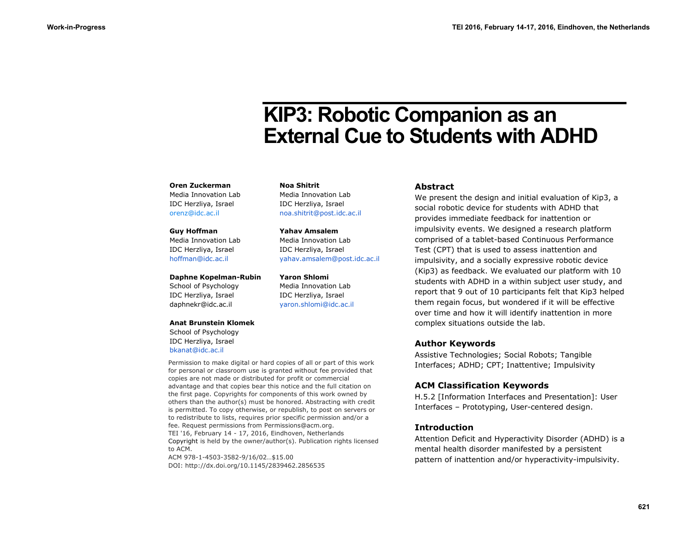# **KIP3: Robotic Companion as an External Cue to Students with ADHD**

#### **Oren Zuckerman**

Media Innovation Lab IDC Herzliya, Israel [orenz@idc.ac.il](mailto:orenz@idc.ac.il)

#### **Guy Hoffman**

Media Innovation Lab IDC Herzliya, Israel [hoffman@idc.ac.il](mailto:hoffman@idc.ac.il)

#### **Daphne Kopelman-Rubin**

School of Psychology IDC Herzliya, Israel [daphnekr@idc.ac.il](mailto:daphnekr@idc.ac.il)

#### **Anat Brunstein Klomek**

School of Psychology IDC Herzliya, Israel [bkanat@idc.ac.il](mailto:bkanat@idc.ac.il)

Permission to make digital or hard copies of all or part of this work for personal or classroom use is granted without fee provided that copies are not made or distributed for profit or commercial advantage and that copies bear this notice and the full citation on the first page. Copyrights for components of this work owned by others than the author(s) must be honored. Abstracting with credit is permitted. To copy otherwise, or republish, to post on servers or to redistribute to lists, requires prior specific permission and/or a fee. Request permissions from [Permissions@acm.org.](mailto:Permissions@acm.org) TEI '16, February 14 - 17, 2016, Eindhoven, Netherlands Copyright is held by the owner/author(s). Publication rights licensed to ACM.

ACM 978-1-4503-3582-9/16/02…\$15.00 DOI:<http://dx.doi.org/10.1145/2839462.2856535>

**Noa Shitrit** Media Innovation Lab IDC Herzliya, Israel [noa.shitrit@post.idc.ac.il](mailto:noa.shitrit@post.idc.ac.il)

**Yahav Amsalem** Media Innovation Lab IDC Herzliya, Israel [yahav.amsalem@post.idc.ac.il](mailto:yahav.amsalem@post.idc.ac.il)

**Yaron Shlomi** Media Innovation Lab IDC Herzliya, Israel [yaron.shlomi@idc.ac.il](mailto:yaron.shlomi@idc.ac.il)

#### **Abstract**

We present the design and initial evaluation of Kip3, a social robotic device for students with ADHD that provides immediate feedback for inattention or impulsivity events. We designed a research platform comprised of a tablet-based Continuous Performance Test (CPT) that is used to assess inattention and impulsivity, and a socially expressive robotic device (Kip3) as feedback. We evaluated our platform with 10 students with ADHD in a within subject user study, and report that 9 out of 10 participants felt that Kip3 helped them regain focus, but wondered if it will be effective over time and how it will identify inattention in more complex situations outside the lab.

## **Author Keywords**

Assistive Technologies; Social Robots; Tangible Interfaces; ADHD; CPT; Inattentive; Impulsivity

## **ACM Classification Keywords**

H.5.2 [Information Interfaces and Presentation]: User Interfaces – Prototyping, User-centered design.

## **Introduction**

Attention Deficit and Hyperactivity Disorder (ADHD) is a mental health disorder manifested by a persistent pattern of inattention and/or hyperactivity-impulsivity.

**621**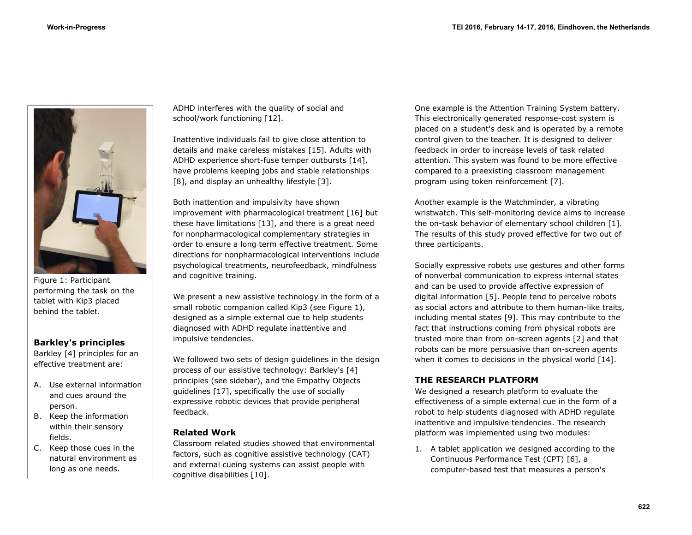

Figure 1: Participant performing the task on the tablet with Kip3 placed behind the tablet.

## **Barkley's principles**

Barkley [4] principles for an effective treatment are:

- A. Use external information and cues around the person.
- B. Keep the information within their sensory fields.
- C. Keep those cues in the natural environment as long as one needs.

ADHD interferes with the quality of social and school/work functioning [12].

Inattentive individuals fail to give close attention to details and make careless mistakes [15]. Adults with ADHD experience short-fuse temper outbursts [14], have problems keeping jobs and stable relationships [8], and display an unhealthy lifestyle [3].

Both inattention and impulsivity have shown improvement with pharmacological treatment [16] but these have limitations [13], and there is a great need for nonpharmacological complementary strategies in order to ensure a long term effective treatment. Some directions for nonpharmacological interventions include psychological treatments, neurofeedback, mindfulness and cognitive training.

We present a new assistive technology in the form of a small robotic companion called Kip3 (see Figure 1), designed as a simple external cue to help students diagnosed with ADHD regulate inattentive and impulsive tendencies.

We followed two sets of design guidelines in the design process of our assistive technology: Barkley's [4] principles (see sidebar), and the Empathy Objects guidelines [17], specifically the use of socially expressive robotic devices that provide peripheral feedback.

## **Related Work**

Classroom related studies showed that environmental factors, such as cognitive assistive technology (CAT) and external cueing systems can assist people with cognitive disabilities [10].

One example is the Attention Training System battery. This electronically generated response-cost system is placed on a student's desk and is operated by a remote control given to the teacher. It is designed to deliver feedback in order to increase levels of task related attention. This system was found to be more effective compared to a preexisting classroom management program using token reinforcement [7].

Another example is the Watchminder, a vibrating wristwatch. This self-monitoring device aims to increase the on-task behavior of elementary school children [1]. The results of this study proved effective for two out of three participants.

Socially expressive robots use gestures and other forms of nonverbal communication to express internal states and can be used to provide affective expression of digital information [5]. People tend to perceive robots as social actors and attribute to them human-like traits, including mental states [9]. This may contribute to the fact that instructions coming from physical robots are trusted more than from on-screen agents [2] and that robots can be more persuasive than on-screen agents when it comes to decisions in the physical world [14].

## **THE RESEARCH PLATFORM**

We designed a research platform to evaluate the effectiveness of a simple external cue in the form of a robot to help students diagnosed with ADHD regulate inattentive and impulsive tendencies. The research platform was implemented using two modules:

1. A tablet application we designed according to the Continuous Performance Test (CPT) [6], a computer-based test that measures a person's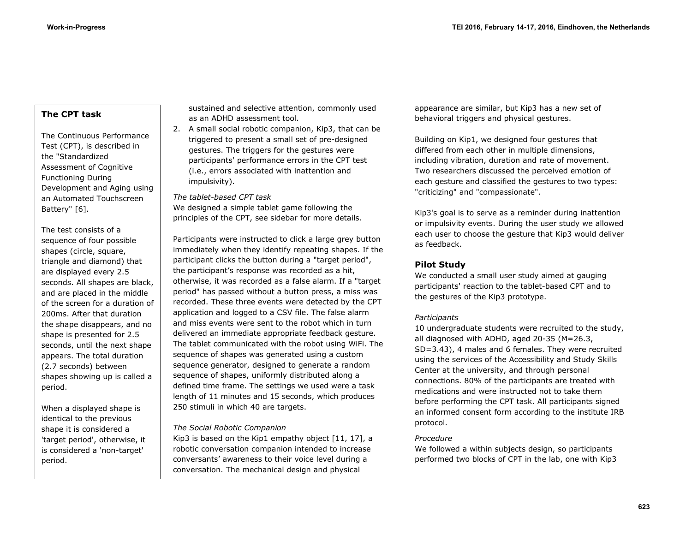# **The CPT task**

The Continuous Performance Test (CPT), is described in the "Standardized Assessment of Cognitive Functioning During Development and Aging using an Automated Touchscreen Battery" [6].

The test consists of a sequence of four possible shapes (circle, square, triangle and diamond) that are displayed every 2.5 seconds. All shapes are black, and are placed in the middle of the screen for a duration of 200ms. After that duration the shape disappears, and no shape is presented for 2.5 seconds, until the next shape appears. The total duration (2.7 seconds) between shapes showing up is called a period.

When a displayed shape is identical to the previous shape it is considered a 'target period', otherwise, it is considered a 'non-target' period.

sustained and selective attention, commonly used as an ADHD assessment tool.

2. A small social robotic companion, Kip3, that can be triggered to present a small set of pre-designed gestures. The triggers for the gestures were participants' performance errors in the CPT test (i.e., errors associated with inattention and impulsivity).

#### *The tablet-based CPT task*

We designed a simple tablet game following the principles of the CPT, see sidebar for more details.

Participants were instructed to click a large grey button immediately when they identify repeating shapes. If the participant clicks the button during a "target period", the participant's response was recorded as a hit, otherwise, it was recorded as a false alarm. If a "target period" has passed without a button press, a miss was recorded. These three events were detected by the CPT application and logged to a CSV file. The false alarm and miss events were sent to the robot which in turn delivered an immediate appropriate feedback gesture. The tablet communicated with the robot using WiFi. The sequence of shapes was generated using a custom sequence generator, designed to generate a random sequence of shapes, uniformly distributed along a defined time frame. The settings we used were a task length of 11 minutes and 15 seconds, which produces 250 stimuli in which 40 are targets.

#### *The Social Robotic Companion*

Kip3 is based on the Kip1 empathy object [11, 17], a robotic conversation companion intended to increase conversants' awareness to their voice level during a conversation. The mechanical design and physical

appearance are similar, but Kip3 has a new set of behavioral triggers and physical gestures.

Building on Kip1, we designed four gestures that differed from each other in multiple dimensions, including vibration, duration and rate of movement. Two researchers discussed the perceived emotion of each gesture and classified the gestures to two types: "criticizing" and "compassionate".

Kip3's goal is to serve as a reminder during inattention or impulsivity events. During the user study we allowed each user to choose the gesture that Kip3 would deliver as feedback.

## **Pilot Study**

We conducted a small user study aimed at gauging participants' reaction to the tablet-based CPT and to the gestures of the Kip3 prototype.

## *Participants*

10 undergraduate students were recruited to the study, all diagnosed with ADHD, aged 20-35 (M=26.3, SD=3.43), 4 males and 6 females. They were recruited using the services of the Accessibility and Study Skills Center at the university, and through personal connections. 80% of the participants are treated with medications and were instructed not to take them before performing the CPT task. All participants signed an informed consent form according to the institute IRB protocol.

## *Procedure*

We followed a within subjects design, so participants performed two blocks of CPT in the lab, one with Kip3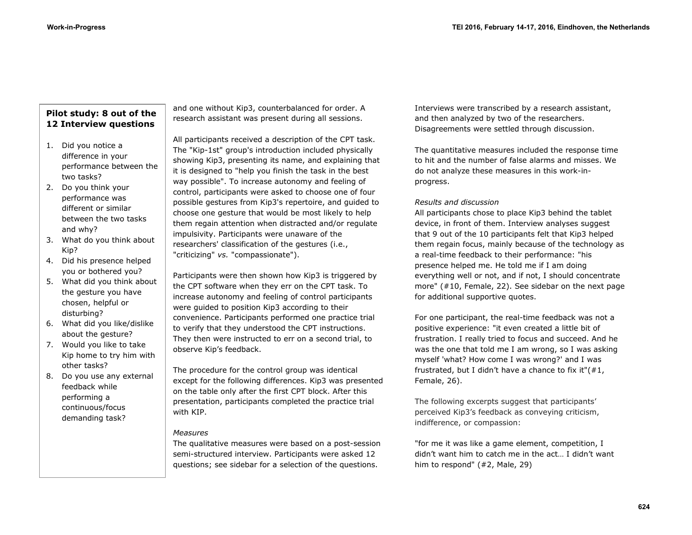# **Pilot study: 8 out of the 12 Interview questions**

- 1. Did you notice a difference in your performance between the two tasks?
- 2. Do you think your performance was different or similar between the two tasks and why?
- 3. What do you think about Kip?
- 4. Did his presence helped you or bothered you?
- 5. What did you think about the gesture you have chosen, helpful or disturbing?
- 6. What did you like/dislike about the gesture?
- 7. Would you like to take Kip home to try him with other tasks?
- 8. Do you use any external feedback while performing a continuous/focus demanding task?

and one without Kip3, counterbalanced for order. A research assistant was present during all sessions.

All participants received a description of the CPT task. The "Kip-1st" group's introduction included physically showing Kip3, presenting its name, and explaining that it is designed to "help you finish the task in the best way possible". To increase autonomy and feeling of control, participants were asked to choose one of four possible gestures from Kip3's repertoire, and guided to choose one gesture that would be most likely to help them regain attention when distracted and/or regulate impulsivity. Participants were unaware of the researchers' classification of the gestures (i.e., "criticizing" *vs.* "compassionate").

Participants were then shown how Kip3 is triggered by the CPT software when they err on the CPT task. To increase autonomy and feeling of control participants were guided to position Kip3 according to their convenience. Participants performed one practice trial to verify that they understood the CPT instructions. They then were instructed to err on a second trial, to observe Kip's feedback.

The procedure for the control group was identical except for the following differences. Kip3 was presented on the table only after the first CPT block. After this presentation, participants completed the practice trial with KIP.

## *Measures*

The qualitative measures were based on a post-session semi-structured interview. Participants were asked 12 questions; see sidebar for a selection of the questions.

Interviews were transcribed by a research assistant, and then analyzed by two of the researchers. Disagreements were settled through discussion.

The quantitative measures included the response time to hit and the number of false alarms and misses. We do not analyze these measures in this work-inprogress.

## *Results and discussion*

All participants chose to place Kip3 behind the tablet device, in front of them. Interview analyses suggest that 9 out of the 10 participants felt that Kip3 helped them regain focus, mainly because of the technology as a real-time feedback to their performance: "his presence helped me. He told me if I am doing everything well or not, and if not, I should concentrate more" (#10, Female, 22). See sidebar on the next page for additional supportive quotes.

For one participant, the real-time feedback was not a positive experience: "it even created a little bit of frustration. I really tried to focus and succeed. And he was the one that told me I am wrong, so I was asking myself 'what? How come I was wrong?' and I was frustrated, but I didn't have a chance to fix it" $(#1,$ Female, 26).

The following excerpts suggest that participants' perceived Kip3's feedback as conveying criticism, indifference, or compassion:

"for me it was like a game element, competition, I didn't want him to catch me in the act… I didn't want him to respond" (#2, Male, 29)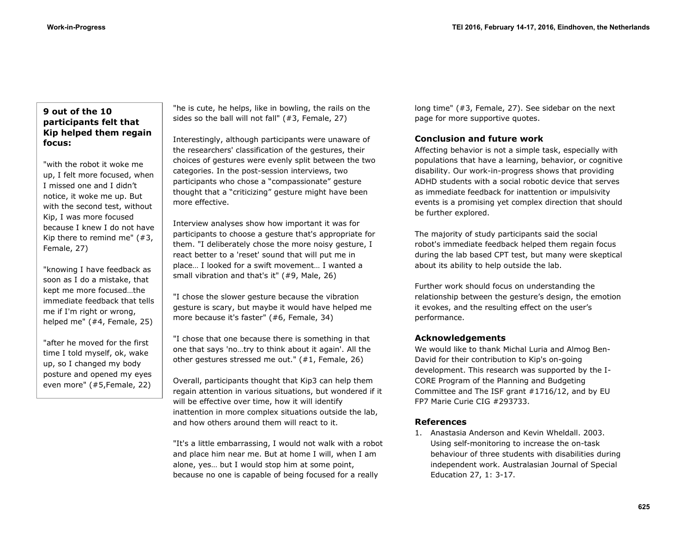# **9 out of the 10 participants felt that Kip helped them regain focus:**

"with the robot it woke me up, I felt more focused, when I missed one and I didn't notice, it woke me up. But with the second test, without Kip, I was more focused because I knew I do not have Kip there to remind me" (#3, Female, 27)

"knowing I have feedback as soon as I do a mistake, that kept me more focused…the immediate feedback that tells me if I'm right or wrong, helped me" (#4, Female, 25)

"after he moved for the first time I told myself, ok, wake up, so I changed my body posture and opened my eyes even more" (#5,Female, 22)

"he is cute, he helps, like in bowling, the rails on the sides so the ball will not fall" (#3, Female, 27)

Interestingly, although participants were unaware of the researchers' classification of the gestures, their choices of gestures were evenly split between the two categories. In the post-session interviews, two participants who chose a "compassionate" gesture thought that a "criticizing" gesture might have been more effective.

Interview analyses show how important it was for participants to choose a gesture that's appropriate for them. "I deliberately chose the more noisy gesture, I react better to a 'reset' sound that will put me in place… I looked for a swift movement… I wanted a small vibration and that's it" (#9, Male, 26)

"I chose the slower gesture because the vibration gesture is scary, but maybe it would have helped me more because it's faster" (#6, Female, 34)

"I chose that one because there is something in that one that says 'no…try to think about it again'. All the other gestures stressed me out." (#1, Female, 26)

Overall, participants thought that Kip3 can help them regain attention in various situations, but wondered if it will be effective over time, how it will identify inattention in more complex situations outside the lab, and how others around them will react to it.

"It's a little embarrassing, I would not walk with a robot and place him near me. But at home I will, when I am alone, yes… but I would stop him at some point, because no one is capable of being focused for a really

long time" (#3, Female, 27). See sidebar on the next page for more supportive quotes.

## **Conclusion and future work**

Affecting behavior is not a simple task, especially with populations that have a learning, behavior, or cognitive disability. Our work-in-progress shows that providing ADHD students with a social robotic device that serves as immediate feedback for inattention or impulsivity events is a promising yet complex direction that should be further explored.

The majority of study participants said the social robot's immediate feedback helped them regain focus during the lab based CPT test, but many were skeptical about its ability to help outside the lab.

Further work should focus on understanding the relationship between the gesture's design, the emotion it evokes, and the resulting effect on the user's performance.

## **Acknowledgements**

We would like to thank Michal Luria and Almog Ben-David for their contribution to Kip's on-going development. This research was supported by the I-CORE Program of the Planning and Budgeting Committee and The ISF grant #1716/12, and by EU FP7 Marie Curie CIG #293733.

## **References**

1. Anastasia Anderson and Kevin Wheldall. 2003. Using self-monitoring to increase the on-task behaviour of three students with disabilities during independent work. Australasian Journal of Special Education 27, 1: 3-17.